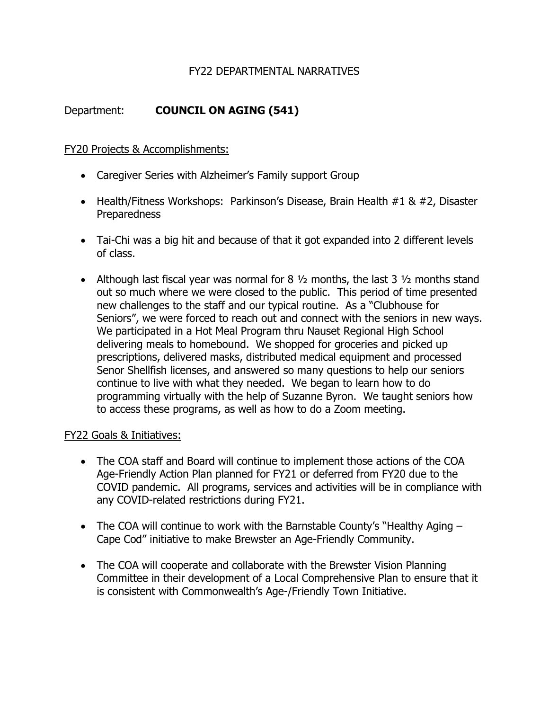## FY22 DEPARTMENTAL NARRATIVES

# Department: **COUNCIL ON AGING (541)**

FY20 Projects & Accomplishments:

- Caregiver Series with Alzheimer's Family support Group
- Health/Fitness Workshops: Parkinson's Disease, Brain Health #1 & #2, Disaster **Preparedness**
- Tai-Chi was a big hit and because of that it got expanded into 2 different levels of class.
- Although last fiscal year was normal for 8  $\frac{1}{2}$  months, the last 3  $\frac{1}{2}$  months stand out so much where we were closed to the public. This period of time presented new challenges to the staff and our typical routine. As a "Clubhouse for Seniors", we were forced to reach out and connect with the seniors in new ways. We participated in a Hot Meal Program thru Nauset Regional High School delivering meals to homebound. We shopped for groceries and picked up prescriptions, delivered masks, distributed medical equipment and processed Senor Shellfish licenses, and answered so many questions to help our seniors continue to live with what they needed. We began to learn how to do programming virtually with the help of Suzanne Byron. We taught seniors how to access these programs, as well as how to do a Zoom meeting.

## FY22 Goals & Initiatives:

- The COA staff and Board will continue to implement those actions of the COA Age-Friendly Action Plan planned for FY21 or deferred from FY20 due to the COVID pandemic. All programs, services and activities will be in compliance with any COVID-related restrictions during FY21.
- The COA will continue to work with the Barnstable County's "Healthy Aging Cape Cod" initiative to make Brewster an Age-Friendly Community.
- The COA will cooperate and collaborate with the Brewster Vision Planning Committee in their development of a Local Comprehensive Plan to ensure that it is consistent with Commonwealth's Age-/Friendly Town Initiative.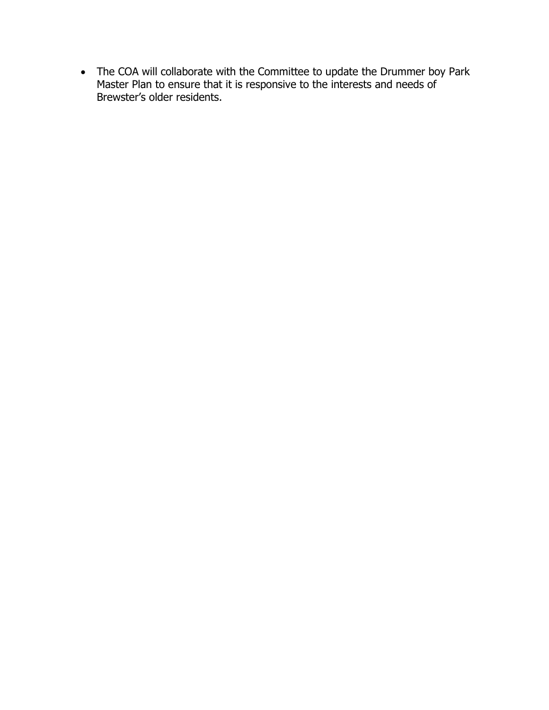The COA will collaborate with the Committee to update the Drummer boy Park Master Plan to ensure that it is responsive to the interests and needs of Brewster's older residents.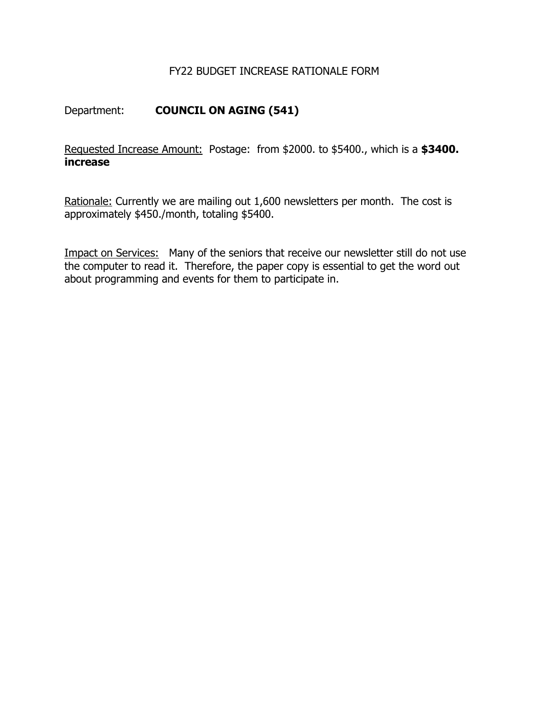## FY22 BUDGET INCREASE RATIONALE FORM

# Department: **COUNCIL ON AGING (541)**

Requested Increase Amount: Postage: from \$2000. to \$5400., which is a **\$3400. increase** 

Rationale: Currently we are mailing out 1,600 newsletters per month. The cost is approximately \$450./month, totaling \$5400.

Impact on Services: Many of the seniors that receive our newsletter still do not use the computer to read it. Therefore, the paper copy is essential to get the word out about programming and events for them to participate in.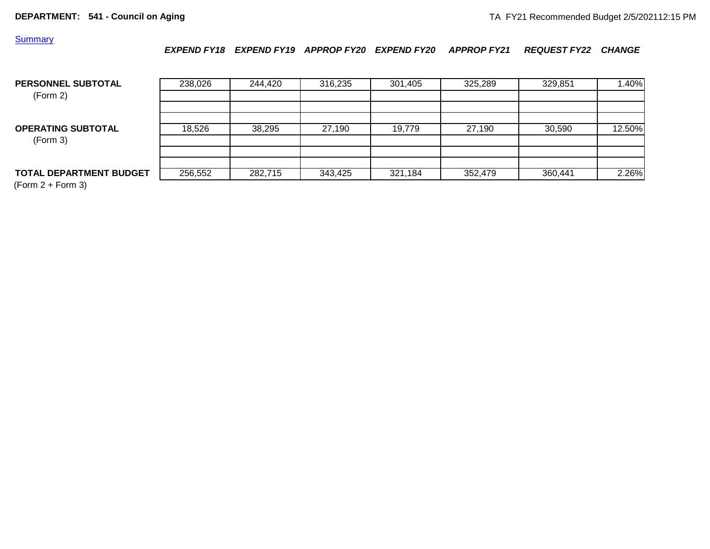### **Summary**

*EXPEND FY18 EXPEND FY19 APPROP FY20 EXPEND FY20 APPROP FY21 REQUEST FY22 CHANGE*

| PERSONNEL SUBTOTAL<br>(Form 2)        | 238,026 | 244.420 | 316,235 | 301,405 | 325,289 | 329,851 | 1.40%  |
|---------------------------------------|---------|---------|---------|---------|---------|---------|--------|
| <b>OPERATING SUBTOTAL</b><br>(Form 3) | 18,526  | 38,295  | 27.190  | 19.779  | 27,190  | 30.590  | 12.50% |
| <b>TOTAL DEPARTMENT BUDGET</b>        | 256,552 | 282,715 | 343,425 | 321,184 | 352,479 | 360,441 | 2.26%  |

(Form 2 + Form 3)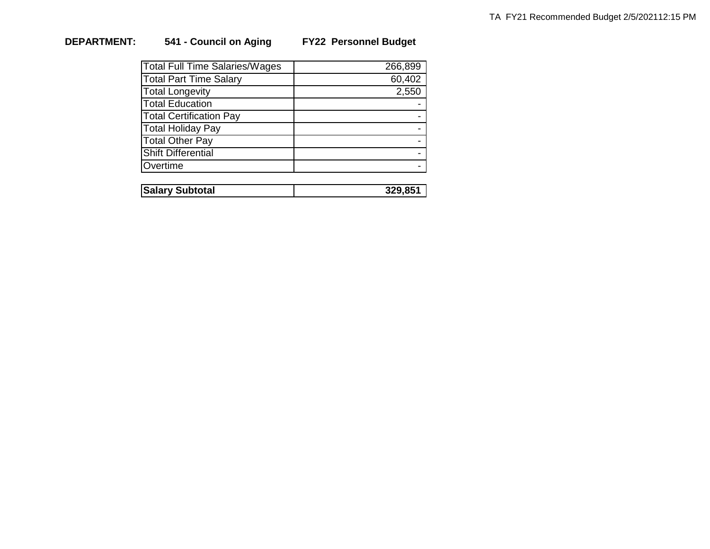# **DEPARTMENT: 541 - Council on Aging FY22 Personnel Budget**

| <b>Total Full Time Salaries/Wages</b> | 266,899 |
|---------------------------------------|---------|
| <b>Total Part Time Salary</b>         | 60,402  |
| <b>Total Longevity</b>                | 2,550   |
| <b>Total Education</b>                |         |
| <b>Total Certification Pay</b>        |         |
| <b>Total Holiday Pay</b>              |         |
| <b>Total Other Pay</b>                |         |
| <b>Shift Differential</b>             |         |
| Overtime                              |         |
|                                       |         |

| <b>Salary Subtotal</b> | OE. |
|------------------------|-----|
|                        |     |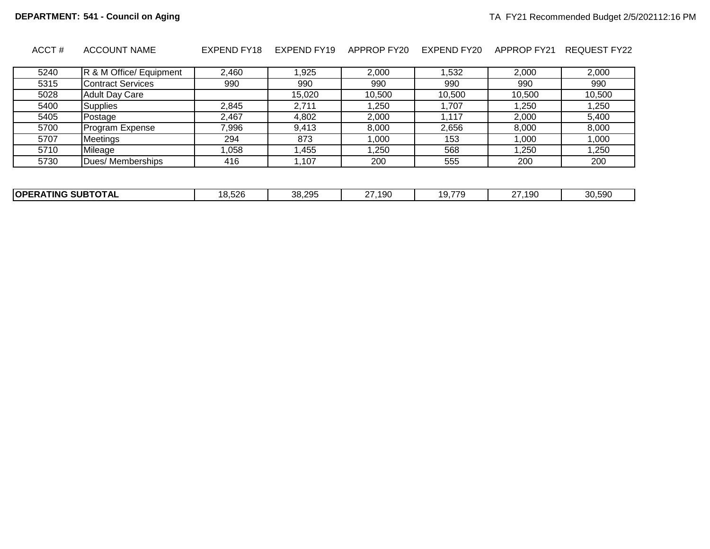| ACCT# | <b>ACCOUNT NAME</b>      | EXPEND FY18 | EXPEND FY19 | APPROP FY20 | EXPEND FY20 | APPROP FY21 | REQUEST FY22 |
|-------|--------------------------|-------------|-------------|-------------|-------------|-------------|--------------|
| 5240  | R & M Office/ Equipment  | 2.460       | 1,925       | 2.000       | 1.532       | 2.000       | 2,000        |
| 5315  | <b>Contract Services</b> | 990         | 990         | 990         | 990         | 990         | 990          |
| 5028  | <b>Adult Day Care</b>    |             | 15,020      | 10,500      | 10.500      | 10,500      | 10,500       |
| 5400  | Supplies                 | 2.845       | 2.711       | 1.250       | 1.707       | .250        | 1.250        |
| 5405  | Postage                  | 2,467       | 4,802       | 2,000       | 1.117       | 2.000       | 5,400        |
| 5700  | Program Expense          | 7,996       | 9.413       | 8.000       | 2.656       | 8.000       | 8.000        |
| 5707  | Meetings                 | 294         | 873         | 1.000       | 153         | 1,000       | 1,000        |
| 5710  | Mileage                  | 1.058       | 1,455       | 1.250       | 568         | .250        | 1.250        |
| 5730  | Dues/ Memberships        | 416         | 1,107       | 200         | 555         | 200         | 200          |
|       |                          |             |             |             |             |             |              |

| <b>SUBTOTAL</b><br><b>IOPFT</b><br>TING | 8,526<br>. נו | 38,295<br>- 98 | $\sim$ $-$<br>190<br>ט שו | $\sim$ $\rightarrow$ $\sim$<br>.<br>. .<br>ິບ : :<br>. . | 19 <sub>C</sub><br>~-<br><u>.</u> | 30,590 |
|-----------------------------------------|---------------|----------------|---------------------------|----------------------------------------------------------|-----------------------------------|--------|
|                                         |               |                |                           |                                                          |                                   |        |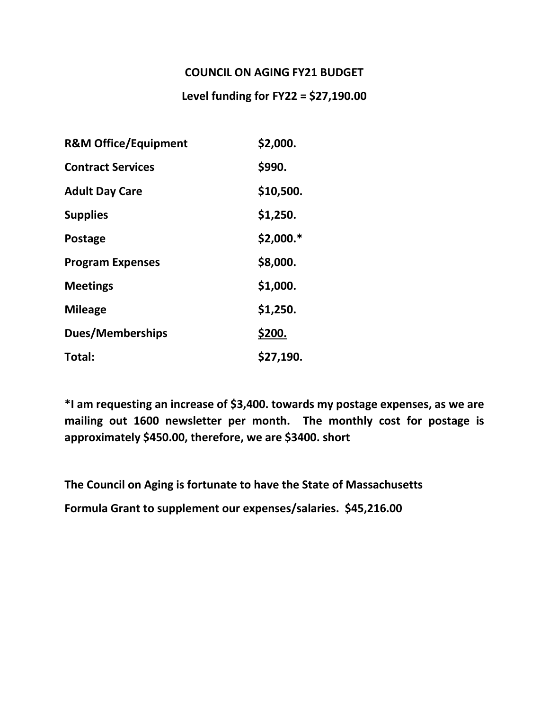# **COUNCIL ON AGING FY21 BUDGET**

# **Level funding for FY22 = \$27,190.00**

| <b>R&amp;M Office/Equipment</b> | \$2,000.   |
|---------------------------------|------------|
| <b>Contract Services</b>        | \$990.     |
| <b>Adult Day Care</b>           | \$10,500.  |
| <b>Supplies</b>                 | \$1,250.   |
| <b>Postage</b>                  | $$2,000.*$ |
| <b>Program Expenses</b>         | \$8,000.   |
| <b>Meetings</b>                 | \$1,000.   |
| <b>Mileage</b>                  | \$1,250.   |
| <b>Dues/Memberships</b>         | \$200.     |
| Total:                          | \$27,190.  |

**\*I am requesting an increase of \$3,400. towards my postage expenses, as we are mailing out 1600 newsletter per month. The monthly cost for postage is approximately \$450.00, therefore, we are \$3400. short** 

**The Council on Aging is fortunate to have the State of Massachusetts** 

**Formula Grant to supplement our expenses/salaries. \$45,216.00**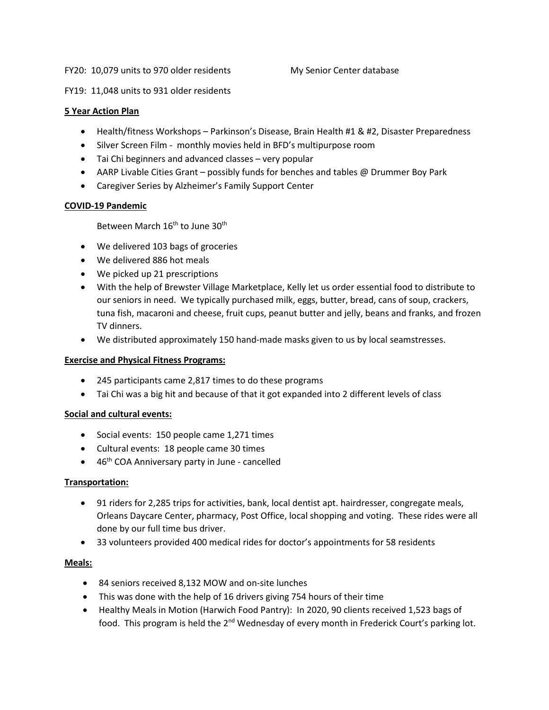#### FY20: 10,079 units to 970 older residents My Senior Center database

FY19: 11,048 units to 931 older residents

#### **5 Year Action Plan**

- Health/fitness Workshops Parkinson's Disease, Brain Health #1 & #2, Disaster Preparedness
- Silver Screen Film monthly movies held in BFD's multipurpose room
- Tai Chi beginners and advanced classes very popular
- AARP Livable Cities Grant possibly funds for benches and tables @ Drummer Boy Park
- Caregiver Series by Alzheimer's Family Support Center

#### **COVID-19 Pandemic**

Between March 16<sup>th</sup> to June 30<sup>th</sup>

- We delivered 103 bags of groceries
- We delivered 886 hot meals
- We picked up 21 prescriptions
- With the help of Brewster Village Marketplace, Kelly let us order essential food to distribute to our seniors in need. We typically purchased milk, eggs, butter, bread, cans of soup, crackers, tuna fish, macaroni and cheese, fruit cups, peanut butter and jelly, beans and franks, and frozen TV dinners.
- We distributed approximately 150 hand-made masks given to us by local seamstresses.

#### **Exercise and Physical Fitness Programs:**

- 245 participants came 2,817 times to do these programs
- Tai Chi was a big hit and because of that it got expanded into 2 different levels of class

#### **Social and cultural events:**

- Social events: 150 people came 1,271 times
- Cultural events: 18 people came 30 times
- $\bullet$  46<sup>th</sup> COA Anniversary party in June cancelled

#### **Transportation:**

- 91 riders for 2,285 trips for activities, bank, local dentist apt. hairdresser, congregate meals, Orleans Daycare Center, pharmacy, Post Office, local shopping and voting. These rides were all done by our full time bus driver.
- 33 volunteers provided 400 medical rides for doctor's appointments for 58 residents

#### **Meals:**

- 84 seniors received 8,132 MOW and on-site lunches
- This was done with the help of 16 drivers giving 754 hours of their time
- Healthy Meals in Motion (Harwich Food Pantry): In 2020, 90 clients received 1,523 bags of food. This program is held the 2<sup>nd</sup> Wednesday of every month in Frederick Court's parking lot.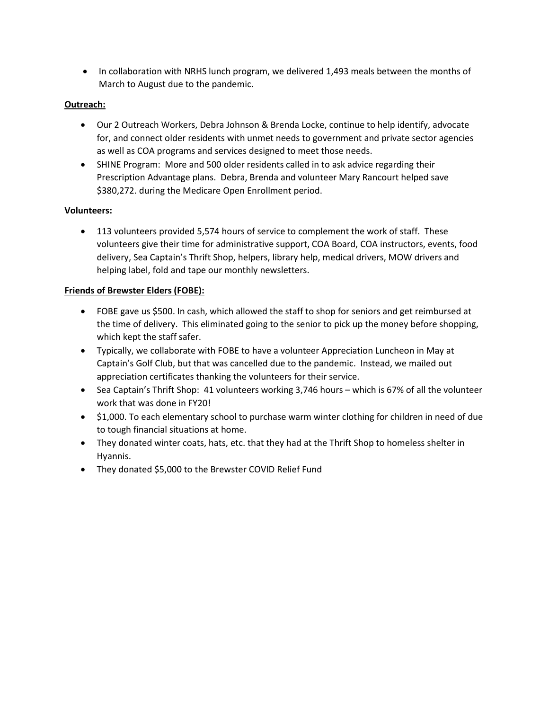• In collaboration with NRHS lunch program, we delivered 1,493 meals between the months of March to August due to the pandemic.

## **Outreach:**

- Our 2 Outreach Workers, Debra Johnson & Brenda Locke, continue to help identify, advocate for, and connect older residents with unmet needs to government and private sector agencies as well as COA programs and services designed to meet those needs.
- SHINE Program: More and 500 older residents called in to ask advice regarding their Prescription Advantage plans. Debra, Brenda and volunteer Mary Rancourt helped save \$380,272. during the Medicare Open Enrollment period.

## **Volunteers:**

 113 volunteers provided 5,574 hours of service to complement the work of staff. These volunteers give their time for administrative support, COA Board, COA instructors, events, food delivery, Sea Captain's Thrift Shop, helpers, library help, medical drivers, MOW drivers and helping label, fold and tape our monthly newsletters.

## **Friends of Brewster Elders (FOBE):**

- FOBE gave us \$500. In cash, which allowed the staff to shop for seniors and get reimbursed at the time of delivery. This eliminated going to the senior to pick up the money before shopping, which kept the staff safer.
- Typically, we collaborate with FOBE to have a volunteer Appreciation Luncheon in May at Captain's Golf Club, but that was cancelled due to the pandemic. Instead, we mailed out appreciation certificates thanking the volunteers for their service.
- Sea Captain's Thrift Shop: 41 volunteers working 3,746 hours which is 67% of all the volunteer work that was done in FY20!
- \$1,000. To each elementary school to purchase warm winter clothing for children in need of due to tough financial situations at home.
- They donated winter coats, hats, etc. that they had at the Thrift Shop to homeless shelter in Hyannis.
- They donated \$5,000 to the Brewster COVID Relief Fund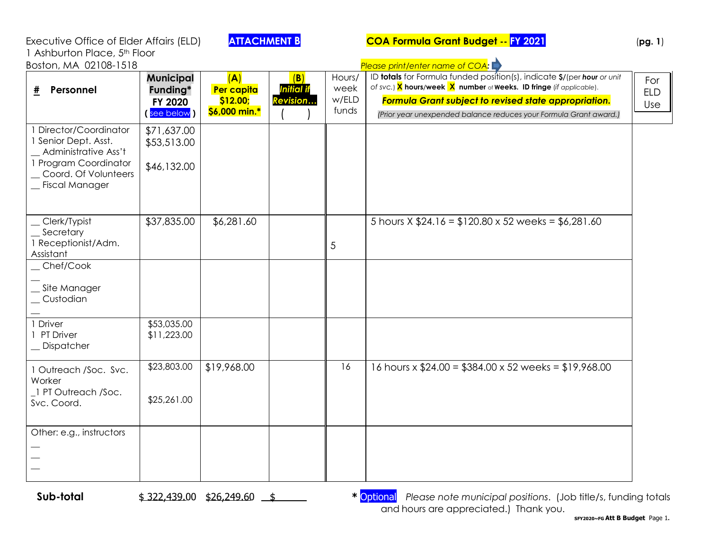| Executive Office of Elder Affairs (ELD)                                                                                                     |                                                        | <b>ATTACHMENT B</b>                            |                                      |                                  | <b>COA Formula Grant Budget -- FY 2021</b>                                                                                                                                                                                                                                                                      | (pg. 1)                  |
|---------------------------------------------------------------------------------------------------------------------------------------------|--------------------------------------------------------|------------------------------------------------|--------------------------------------|----------------------------------|-----------------------------------------------------------------------------------------------------------------------------------------------------------------------------------------------------------------------------------------------------------------------------------------------------------------|--------------------------|
| 1 Ashburton Place, 5th Floor<br>Boston, MA 02108-1518                                                                                       |                                                        |                                                |                                      |                                  |                                                                                                                                                                                                                                                                                                                 |                          |
| Personnel<br>#                                                                                                                              | <b>Municipal</b><br>Funding*<br>FY 2020<br>(see below) | (A)<br>Per capita<br>\$12.00;<br>\$6,000 min.* | (B)<br><b>Initial</b> if<br>Revision | Hours/<br>week<br>w/ELD<br>funds | Please print/enter name of COA:<br>ID totals for Formula funded position(s), indicate \$/(per hour or unit<br>of svc.) X hours/week X number of Weeks. ID fringe (if applicable).<br>Formula Grant subject to revised state appropriation.<br>(Prior year unexpended balance reduces your Formula Grant award.) | For<br><b>ELD</b><br>Use |
| 1 Director/Coordinator<br>1 Senior Dept. Asst.<br>Administrative Ass't<br>1 Program Coordinator<br>Coord. Of Volunteers<br>_ Fiscal Manager | \$71,637.00<br>\$53,513.00<br>\$46,132.00              |                                                |                                      |                                  |                                                                                                                                                                                                                                                                                                                 |                          |
| Clerk/Typist<br>Secretary<br>1 Receptionist/Adm.<br>Assistant                                                                               | \$37,835.00                                            | \$6,281.60                                     |                                      | 5                                | 5 hours $X $24.16 = $120.80 \times 52$ weeks = \$6,281.60                                                                                                                                                                                                                                                       |                          |
| Chef/Cook<br>Site Manager<br>Custodian                                                                                                      |                                                        |                                                |                                      |                                  |                                                                                                                                                                                                                                                                                                                 |                          |
| 1 Driver<br>1 PT Driver<br>Dispatcher                                                                                                       | \$53,035.00<br>\$11,223.00                             |                                                |                                      |                                  |                                                                                                                                                                                                                                                                                                                 |                          |
| 1 Outreach /Soc. Svc.<br>Worker<br>1 PT Outreach /Soc.<br>Svc. Coord.                                                                       | \$23,803.00<br>\$25,261.00                             | \$19,968.00                                    |                                      | 16                               | 16 hours x $$24.00 = $384.00 \times 52$ weeks = \$19,968.00                                                                                                                                                                                                                                                     |                          |
| Other: e.g., instructors                                                                                                                    |                                                        |                                                |                                      |                                  |                                                                                                                                                                                                                                                                                                                 |                          |

**Sub-total**  $\frac{$322,439.00 \frac{$26,249.60 \frac{$126,249.60 \frac{$126,249.60 \frac{$126,249.60 \frac{$126,249.60 \frac{$126,249.60 \frac{$126,249.60 \frac{$126,249.60 \frac{$126,249.60 \frac{$126,249.60 \frac{$126,249.60 \frac{$126,249.60 \frac{$126,249.60 \frac{$126,249.60 \frac{$126,249.60 \frac$ and hours are appreciated.) Thank you.